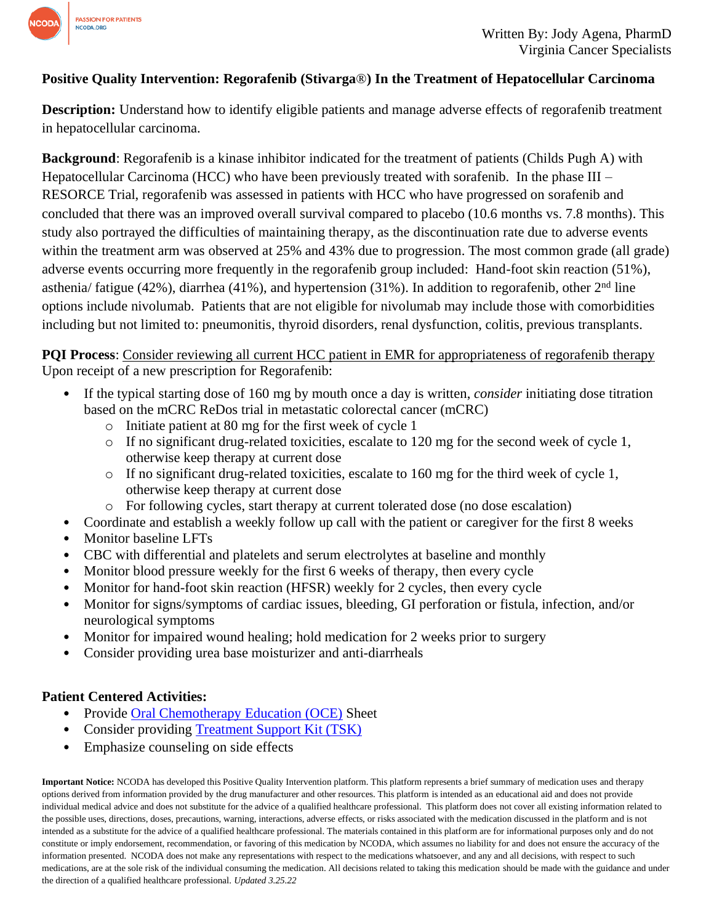

## **Positive Quality Intervention: Regorafenib (Stivarga**®**) In the Treatment of Hepatocellular Carcinoma**

**Description:** Understand how to identify eligible patients and manage adverse effects of regorafenib treatment in hepatocellular carcinoma.

**Background**: Regorafenib is a kinase inhibitor indicated for the treatment of patients (Childs Pugh A) with Hepatocellular Carcinoma (HCC) who have been previously treated with sorafenib. In the phase  $III -$ RESORCE Trial, regorafenib was assessed in patients with HCC who have progressed on sorafenib and concluded that there was an improved overall survival compared to placebo (10.6 months vs. 7.8 months). This study also portrayed the difficulties of maintaining therapy, as the discontinuation rate due to adverse events within the treatment arm was observed at 25% and 43% due to progression. The most common grade (all grade) adverse events occurring more frequently in the regorafenib group included: Hand-foot skin reaction (51%), asthenia/ fatigue (42%), diarrhea (41%), and hypertension (31%). In addition to regorafenib, other 2nd line options include nivolumab. Patients that are not eligible for nivolumab may include those with comorbidities including but not limited to: pneumonitis, thyroid disorders, renal dysfunction, colitis, previous transplants.

#### **PQI Process**: Consider reviewing all current HCC patient in EMR for appropriateness of regorafenib therapy Upon receipt of a new prescription for Regorafenib:

- If the typical starting dose of 160 mg by mouth once a day is written, *consider* initiating dose titration based on the mCRC ReDos trial in metastatic colorectal cancer (mCRC)
	- o Initiate patient at 80 mg for the first week of cycle 1
	- o If no significant drug-related toxicities, escalate to 120 mg for the second week of cycle 1, otherwise keep therapy at current dose
	- o If no significant drug-related toxicities, escalate to 160 mg for the third week of cycle 1, otherwise keep therapy at current dose
	- o For following cycles, start therapy at current tolerated dose (no dose escalation)
- Coordinate and establish a weekly follow up call with the patient or caregiver for the first 8 weeks
- Monitor baseline LFTs
- CBC with differential and platelets and serum electrolytes at baseline and monthly
- Monitor blood pressure weekly for the first 6 weeks of therapy, then every cycle
- Monitor for hand-foot skin reaction (HFSR) weekly for 2 cycles, then every cycle
- Monitor for signs/symptoms of cardiac issues, bleeding, GI perforation or fistula, infection, and/or neurological symptoms
- Monitor for impaired wound healing; hold medication for 2 weeks prior to surgery
- Consider providing urea base moisturizer and anti-diarrheals

## **Patient Centered Activities:**

- Provide [Oral Chemotherapy Education \(OCE\)](https://www.oralchemoedsheets.com/index.php/sheet-library/19-coming-soon/generic/94-regorafenib) Sheet
- Consider providing [Treatment Support Kit \(TSK\)](https://www.surveymonkey.com/r/RM2RSP9)
- Emphasize counseling on side effects

**Important Notice:** NCODA has developed this Positive Quality Intervention platform. This platform represents a brief summary of medication uses and therapy options derived from information provided by the drug manufacturer and other resources. This platform is intended as an educational aid and does not provide individual medical advice and does not substitute for the advice of a qualified healthcare professional. This platform does not cover all existing information related to the possible uses, directions, doses, precautions, warning, interactions, adverse effects, or risks associated with the medication discussed in the platform and is not intended as a substitute for the advice of a qualified healthcare professional. The materials contained in this platform are for informational purposes only and do not constitute or imply endorsement, recommendation, or favoring of this medication by NCODA, which assumes no liability for and does not ensure the accuracy of the information presented. NCODA does not make any representations with respect to the medications whatsoever, and any and all decisions, with respect to such medications, are at the sole risk of the individual consuming the medication. All decisions related to taking this medication should be made with the guidance and under the direction of a qualified healthcare professional. *Updated 3.25.22*